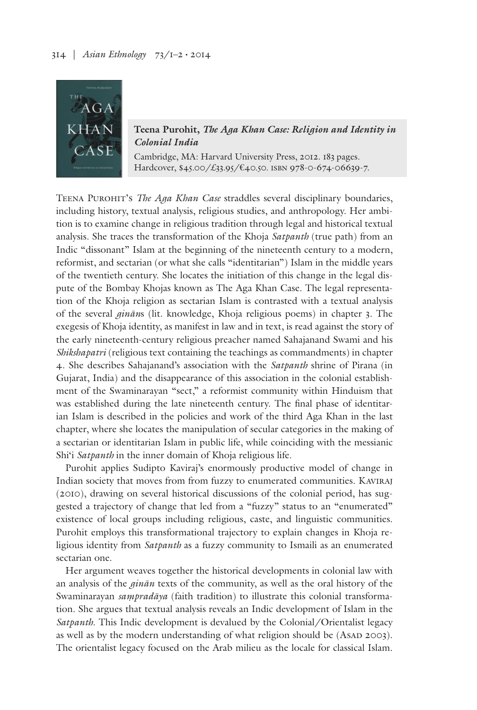

**Teena Purohit,** *The Aga Khan Case: Religion and Identity in Colonial India*

Cambridge, MA: Harvard University Press, 2012. 183 pages. Hardcover, \$45.00/£33.95/€40.50. isbn 978-0-674-06639-7.

Teena Purohit's *The Aga Khan Case* straddles several disciplinary boundaries, including history, textual analysis, religious studies, and anthropology. Her ambition is to examine change in religious tradition through legal and historical textual analysis. She traces the transformation of the Khoja *Satpanth* (true path) from an Indic "dissonant" Islam at the beginning of the nineteenth century to a modern, reformist, and sectarian (or what she calls "identitarian") Islam in the middle years of the twentieth century. She locates the initiation of this change in the legal dispute of the Bombay Khojas known as The Aga Khan Case. The legal representation of the Khoja religion as sectarian Islam is contrasted with a textual analysis of the several *ginān*s (lit. knowledge, Khoja religious poems) in chapter 3. The exegesis of Khoja identity, as manifest in law and in text, is read against the story of the early nineteenth-century religious preacher named Sahajanand Swami and his *Shikshapatri* (religious text containing the teachings as commandments) in chapter 4. She describes Sahajanand's association with the *Satpanth* shrine of Pirana (in Gujarat, India) and the disappearance of this association in the colonial establishment of the Swaminarayan "sect," a reformist community within Hinduism that was established during the late nineteenth century. The final phase of identitarian Islam is described in the policies and work of the third Aga Khan in the last chapter, where she locates the manipulation of secular categories in the making of a sectarian or identitarian Islam in public life, while coinciding with the messianic Shi'i *Satpanth* in the inner domain of Khoja religious life.

Purohit applies Sudipto Kaviraj's enormously productive model of change in Indian society that moves from from fuzzy to enumerated communities. Kaviraj (2010), drawing on several historical discussions of the colonial period, has suggested a trajectory of change that led from a "fuzzy" status to an "enumerated" existence of local groups including religious, caste, and linguistic communities. Purohit employs this transformational trajectory to explain changes in Khoja religious identity from *Satpanth* as a fuzzy community to Ismaili as an enumerated sectarian one.

Her argument weaves together the historical developments in colonial law with an analysis of the *ginān* texts of the community, as well as the oral history of the Swaminarayan *saṃpradāya* (faith tradition) to illustrate this colonial transformation. She argues that textual analysis reveals an Indic development of Islam in the *Satpanth*. This Indic development is devalued by the Colonial/Orientalist legacy as well as by the modern understanding of what religion should be (ASAD 2003). The orientalist legacy focused on the Arab milieu as the locale for classical Islam.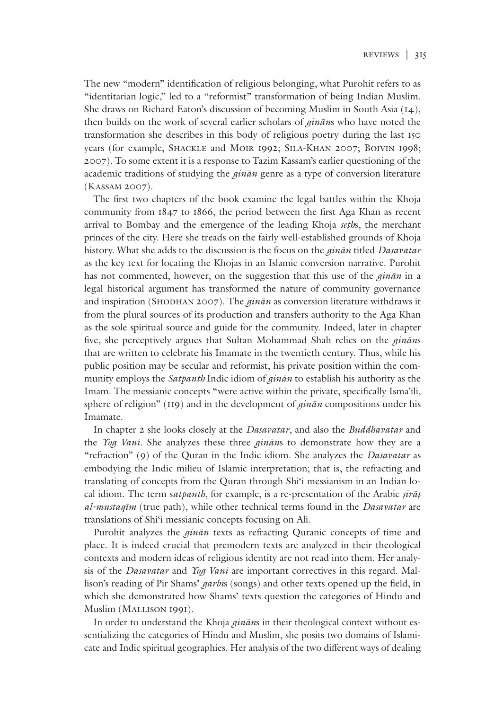The new "modern" identification of religious belonging, what Purohit refers to as "identitarian logic," led to a "reformist" transformation of being Indian Muslim. She draws on Richard Eaton's discussion of becoming Muslim in South Asia (14), then builds on the work of several earlier scholars of *ginān*s who have noted the transformation she describes in this body of religious poetry during the last 150 years (for example, SHACKLE and MOIR 1992; SILA-KHAN 2007; BOIVIN 1998; 2007). To some extent it is a response to Tazim Kassam's earlier questioning of the academic traditions of studying the *ginān* genre as a type of conversion literature (Kassam 2007).

The first two chapters of the book examine the legal battles within the Khoja community from 1847 to 1866, the period between the first Aga Khan as recent arrival to Bombay and the emergence of the leading Khoja *seṭh*s, the merchant princes of the city. Here she treads on the fairly well-established grounds of Khoja history. What she adds to the discussion is the focus on the *ginān* titled *Dasavatar* as the key text for locating the Khojas in an Islamic conversion narrative. Purohit has not commented, however, on the suggestion that this use of the *ginān* in a legal historical argument has transformed the nature of community governance and inspiration (SHODHAN 2007). The *ginān* as conversion literature withdraws it from the plural sources of its production and transfers authority to the Aga Khan as the sole spiritual source and guide for the community. Indeed, later in chapter five, she perceptively argues that Sultan Mohammad Shah relies on the *ginān*s that are written to celebrate his Imamate in the twentieth century. Thus, while his public position may be secular and reformist, his private position within the community employs the *Satpanth* Indic idiom of *ginān* to establish his authority as the Imam. The messianic concepts "were active within the private, specifically Isma'ili, sphere of religion" (119) and in the development of *ginān* compositions under his Imamate.

In chapter 2 she looks closely at the *Dasavatar*, and also the *Buddhavatar* and the *Yog Vani*. She analyzes these three *ginān*s to demonstrate how they are a "refraction" (9) of the Quran in the Indic idiom. She analyzes the *Dasavatar* as embodying the Indic milieu of Islamic interpretation; that is, the refracting and translating of concepts from the Quran through Shi'i messianism in an Indian local idiom. The term s*atpanth*, for example, is a re-presentation of the Arabic *ṣirāṭ al-mustaqīm* (true path), while other technical terms found in the *Dasavatar* are translations of Shi'i messianic concepts focusing on Ali.

Purohit analyzes the *ginān* texts as refracting Quranic concepts of time and place. It is indeed crucial that premodern texts are analyzed in their theological contexts and modern ideas of religious identity are not read into them. Her analysis of the *Dasavatar* and *Yog Vani* are important correctives in this regard. Mallison's reading of Pir Shams' *garbī*s (songs) and other texts opened up the field, in which she demonstrated how Shams' texts question the categories of Hindu and Muslim (Mallison 1991).

In order to understand the Khoja *ginān*s in their theological context without essentializing the categories of Hindu and Muslim, she posits two domains of Islamicate and Indic spiritual geographies. Her analysis of the two different ways of dealing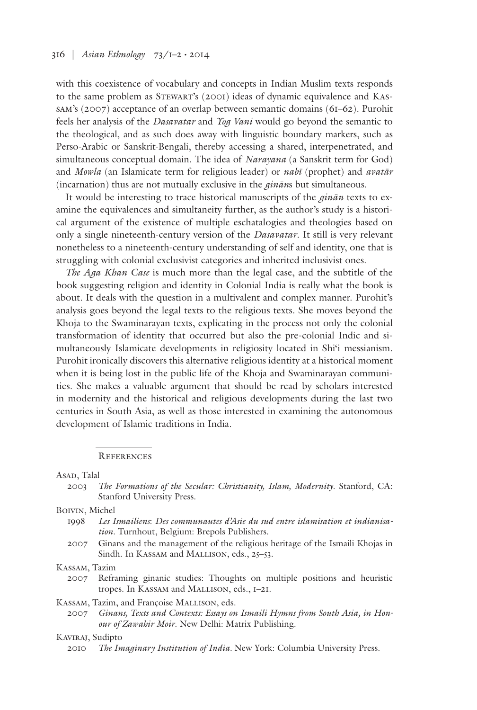with this coexistence of vocabulary and concepts in Indian Muslim texts responds to the same problem as Stewart's (2001) ideas of dynamic equivalence and Kassam's (2007) acceptance of an overlap between semantic domains (61–62). Purohit feels her analysis of the *Dasavatar* and *Yog Vani* would go beyond the semantic to the theological, and as such does away with linguistic boundary markers, such as Perso-Arabic or Sanskrit-Bengali, thereby accessing a shared, interpenetrated, and simultaneous conceptual domain. The idea of *Narayana* (a Sanskrit term for God) and *Mowla* (an Islamicate term for religious leader) or *nabī* (prophet) and *avatār* (incarnation) thus are not mutually exclusive in the *ginān*s but simultaneous.

It would be interesting to trace historical manuscripts of the *ginān* texts to examine the equivalences and simultaneity further, as the author's study is a historical argument of the existence of multiple eschatalogies and theologies based on only a single nineteenth-century version of the *Dasavatar*. It still is very relevant nonetheless to a nineteenth-century understanding of self and identity, one that is struggling with colonial exclusivist categories and inherited inclusivist ones.

*The Aga Khan Case* is much more than the legal case, and the subtitle of the book suggesting religion and identity in Colonial India is really what the book is about. It deals with the question in a multivalent and complex manner. Purohit's analysis goes beyond the legal texts to the religious texts. She moves beyond the Khoja to the Swaminarayan texts, explicating in the process not only the colonial transformation of identity that occurred but also the pre-colonial Indic and simultaneously Islamicate developments in religiosity located in Shi'i messianism. Purohit ironically discovers this alternative religious identity at a historical moment when it is being lost in the public life of the Khoja and Swaminarayan communities. She makes a valuable argument that should be read by scholars interested in modernity and the historical and religious developments during the last two centuries in South Asia, as well as those interested in examining the autonomous development of Islamic traditions in India.

#### **REFERENCES**

#### Asap, Talal

2003 *The Formations of the Secular: Christianity, Islam, Modernity*. Stanford, CA: Stanford University Press.

#### Boivin, Michel

- 1998 *Les Ismailiens*: *Des communautes d'Asie du sud entre islamisation et indianisation*. Turnhout, Belgium: Brepols Publishers.
- 2007 Ginans and the management of the religious heritage of the Ismaili Khojas in Sindh. In KASSAM and MALLISON, eds., 25-53.

### Kassam, Tazim

2007 Reframing ginanic studies: Thoughts on multiple positions and heuristic tropes. In Kassam and Mallison, eds., 1–21.

### KASSAM, Tazim, and Françoise MALLISON, eds.

2007 *Ginans, Texts and Contexts: Essays on Ismaili Hymns from South Asia, in Honour of Zawahir Moir*. New Delhi: Matrix Publishing.

## KAVIRAJ, Sudipto

2010 *The Imaginary Institution of India.* New York: Columbia University Press.